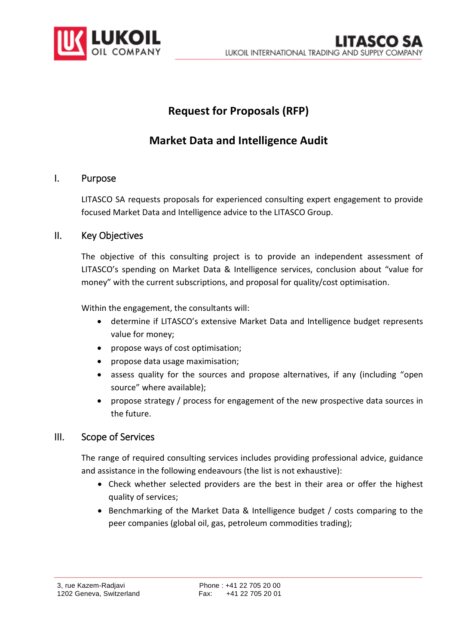

# **Request for Proposals (RFP)**

## **Market Data and Intelligence Audit**

### I. Purpose

LITASCO SA requests proposals for experienced consulting expert engagement to provide focused Market Data and Intelligence advice to the LITASCO Group.

### II. Key Objectives

The objective of this consulting project is to provide an independent assessment of LITASCO's spending on Market Data & Intelligence services, conclusion about "value for money" with the current subscriptions, and proposal for quality/cost optimisation.

Within the engagement, the consultants will:

- determine if LITASCO's extensive Market Data and Intelligence budget represents value for money;
- propose ways of cost optimisation;
- propose data usage maximisation;
- assess quality for the sources and propose alternatives, if any (including "open source" where available);
- propose strategy / process for engagement of the new prospective data sources in the future.

### III. Scope of Services

The range of required consulting services includes providing professional advice, guidance and assistance in the following endeavours (the list is not exhaustive):

- Check whether selected providers are the best in their area or offer the highest quality of services;
- Benchmarking of the Market Data & Intelligence budget / costs comparing to the peer companies (global oil, gas, petroleum commodities trading);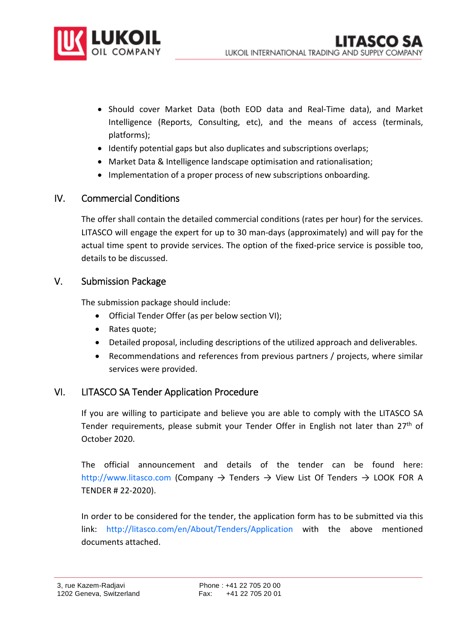

- Should cover Market Data (both EOD data and Real-Time data), and Market Intelligence (Reports, Consulting, etc), and the means of access (terminals, platforms);
- Identify potential gaps but also duplicates and subscriptions overlaps;
- Market Data & Intelligence landscape optimisation and rationalisation;
- Implementation of a proper process of new subscriptions onboarding.

### IV. Commercial Conditions

The offer shall contain the detailed commercial conditions (rates per hour) for the services. LITASCO will engage the expert for up to 30 man-days (approximately) and will pay for the actual time spent to provide services. The option of the fixed-price service is possible too, details to be discussed.

#### V. Submission Package

The submission package should include:

- Official Tender Offer (as per below section VI);
- Rates quote;
- Detailed proposal, including descriptions of the utilized approach and deliverables.
- Recommendations and references from previous partners / projects, where similar services were provided.

### VI. LITASCO SA Tender Application Procedure

If you are willing to participate and believe you are able to comply with the LITASCO SA Tender requirements, please submit your Tender Offer in English not later than 27<sup>th</sup> of October 2020.

The official announcement and details of the tender can be found here: http://www.litasco.com (Company  $\rightarrow$  Tenders  $\rightarrow$  View List Of Tenders  $\rightarrow$  LOOK FOR A TENDER # 22-2020).

In order to be considered for the tender, the application form has to be submitted via this link: http://litasco.com/en/About/Tenders/Application with the above mentioned documents attached.